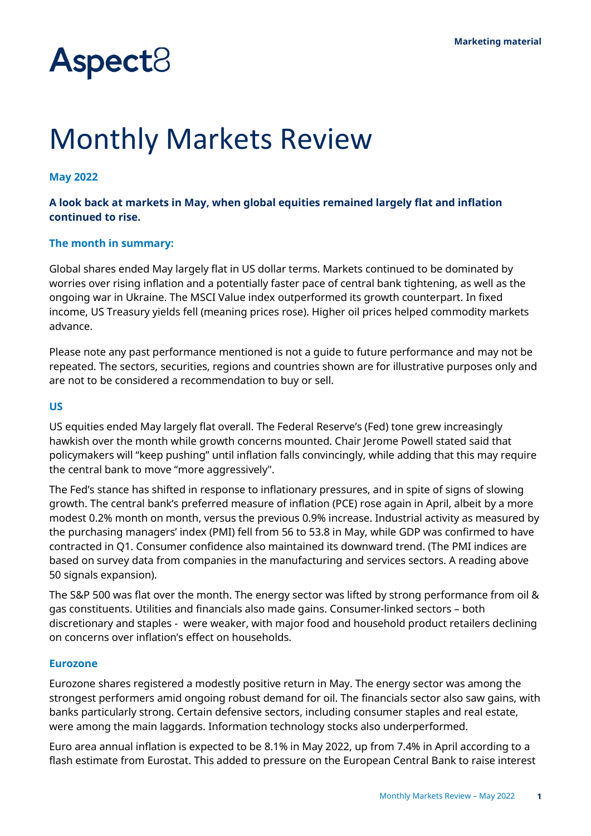# **Aspect**<sup>8</sup>

# Monthly Markets Review

#### **May 2022**

#### **A look back at markets in May, when global equities remained largely flat and inflation continued to rise.**

#### **The month in summary:**

Global shares ended May largely flat in US dollar terms. Markets continued to be dominated by worries over rising inflation and a potentially faster pace of central bank tightening, as well as the ongoing war in Ukraine. The MSCI Value index outperformed its growth counterpart. In fixed income, US Treasury yields fell (meaning prices rose). Higher oil prices helped commodity markets advance.

Please note any past performance mentioned is not a guide to future performance and may not be repeated. The sectors, securities, regions and countries shown are for illustrative purposes only and are not to be considered a recommendation to buy or sell.

#### **US**

US equities ended May largely flat overall. The Federal Reserve's (Fed) tone grew increasingly hawkish over the month while growth concerns mounted. Chair Jerome Powell stated said that policymakers will "keep pushing" until inflation falls convincingly, while adding that this may require the central bank to move "more aggressively".

The Fed's stance has shifted in response to inflationary pressures, and in spite of signs of slowing growth. The central bank's preferred measure of inflation (PCE) rose again in April, albeit by a more modest 0.2% month on month, versus the previous 0.9% increase. Industrial activity as measured by the purchasing managers' index (PMI) fell from 56 to 53.8 in May, while GDP was confirmed to have contracted in Q1. Consumer confidence also maintained its downward trend. (The PMI indices are based on survey data from companies in the manufacturing and services sectors. A reading above 50 signals expansion).

The S&P 500 was flat over the month. The energy sector was lifted by strong performance from oil & gas constituents. Utilities and financials also made gains. Consumer-linked sectors – both discretionary and staples - were weaker, with major food and household product retailers declining on concerns over inflation's effect on households.

#### **Eurozone**

Eurozone shares registered a modestly positive return in May. The energy sector was among the strongest performers amid ongoing robust demand for oil. The financials sector also saw gains, with banks particularly strong. Certain defensive sectors, including consumer staples and real estate, were among the main laggards. Information technology stocks also underperformed.

Euro area annual inflation is expected to be 8.1% in May 2022, up from 7.4% in April according to a flash estimate from Eurostat. This added to pressure on the European Central Bank to raise interest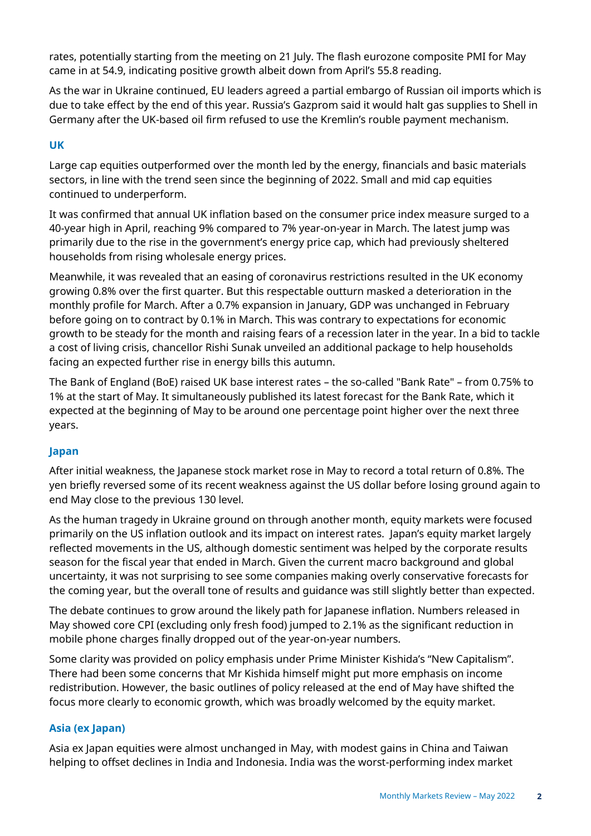rates, potentially starting from the meeting on 21 July. The flash eurozone composite PMI for May came in at 54.9, indicating positive growth albeit down from April's 55.8 reading.

As the war in Ukraine continued, EU leaders agreed a partial embargo of Russian oil imports which is due to take effect by the end of this year. Russia's Gazprom said it would halt gas supplies to Shell in Germany after the UK-based oil firm refused to use the Kremlin's rouble payment mechanism.

# **UK**

Large cap equities outperformed over the month led by the energy, financials and basic materials sectors, in line with the trend seen since the beginning of 2022. Small and mid cap equities continued to underperform.

It was confirmed that annual UK inflation based on the consumer price index measure surged to a 40-year high in April, reaching 9% compared to 7% year-on-year in March. The latest jump was primarily due to the rise in the government's energy price cap, which had previously sheltered households from rising wholesale energy prices.

Meanwhile, it was revealed that an easing of coronavirus restrictions resulted in the UK economy growing 0.8% over the first quarter. But this respectable outturn masked a deterioration in the monthly profile for March. After a 0.7% expansion in January, GDP was unchanged in February before going on to contract by 0.1% in March. This was contrary to expectations for economic growth to be steady for the month and raising fears of a recession later in the year. In a bid to tackle a cost of living crisis, chancellor Rishi Sunak unveiled an additional package to help households facing an expected further rise in energy bills this autumn.

The Bank of England (BoE) raised UK base interest rates – the so-called "Bank Rate" – from 0.75% to 1% at the start of May. It simultaneously published its latest forecast for the Bank Rate, which it expected at the beginning of May to be around one percentage point higher over the next three years.

# **Japan**

After initial weakness, the Japanese stock market rose in May to record a total return of 0.8%. The yen briefly reversed some of its recent weakness against the US dollar before losing ground again to end May close to the previous 130 level.

As the human tragedy in Ukraine ground on through another month, equity markets were focused primarily on the US inflation outlook and its impact on interest rates. Japan's equity market largely reflected movements in the US, although domestic sentiment was helped by the corporate results season for the fiscal year that ended in March. Given the current macro background and global uncertainty, it was not surprising to see some companies making overly conservative forecasts for the coming year, but the overall tone of results and guidance was still slightly better than expected.

The debate continues to grow around the likely path for Japanese inflation. Numbers released in May showed core CPI (excluding only fresh food) jumped to 2.1% as the significant reduction in mobile phone charges finally dropped out of the year-on-year numbers.

Some clarity was provided on policy emphasis under Prime Minister Kishida's "New Capitalism". There had been some concerns that Mr Kishida himself might put more emphasis on income redistribution. However, the basic outlines of policy released at the end of May have shifted the focus more clearly to economic growth, which was broadly welcomed by the equity market.

#### **Asia (ex Japan)**

Asia ex Japan equities were almost unchanged in May, with modest gains in China and Taiwan helping to offset declines in India and Indonesia. India was the worst-performing index market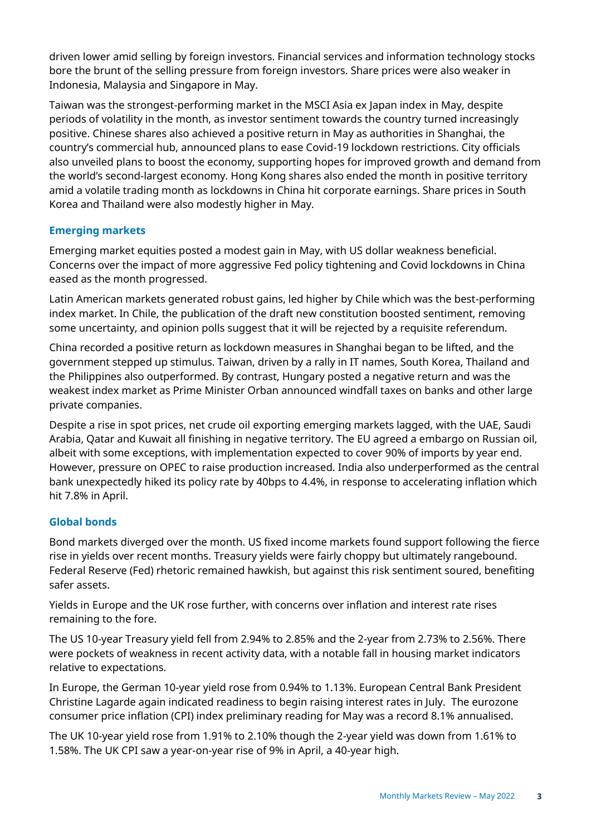driven lower amid selling by foreign investors. Financial services and information technology stocks bore the brunt of the selling pressure from foreign investors. Share prices were also weaker in Indonesia, Malaysia and Singapore in May.

Taiwan was the strongest-performing market in the MSCI Asia ex Japan index in May, despite periods of volatility in the month, as investor sentiment towards the country turned increasingly positive. Chinese shares also achieved a positive return in May as authorities in Shanghai, the country's commercial hub, announced plans to ease Covid-19 lockdown restrictions. City officials also unveiled plans to boost the economy, supporting hopes for improved growth and demand from the world's second-largest economy. Hong Kong shares also ended the month in positive territory amid a volatile trading month as lockdowns in China hit corporate earnings. Share prices in South Korea and Thailand were also modestly higher in May.

# **Emerging markets**

Emerging market equities posted a modest gain in May, with US dollar weakness beneficial. Concerns over the impact of more aggressive Fed policy tightening and Covid lockdowns in China eased as the month progressed.

Latin American markets generated robust gains, led higher by Chile which was the best-performing index market. In Chile, the publication of the draft new constitution boosted sentiment, removing some uncertainty, and opinion polls suggest that it will be rejected by a requisite referendum.

China recorded a positive return as lockdown measures in Shanghai began to be lifted, and the government stepped up stimulus. Taiwan, driven by a rally in IT names, South Korea, Thailand and the Philippines also outperformed. By contrast, Hungary posted a negative return and was the weakest index market as Prime Minister Orban announced windfall taxes on banks and other large private companies.

Despite a rise in spot prices, net crude oil exporting emerging markets lagged, with the UAE, Saudi Arabia, Qatar and Kuwait all finishing in negative territory. The EU agreed a embargo on Russian oil, albeit with some exceptions, with implementation expected to cover 90% of imports by year end. However, pressure on OPEC to raise production increased. India also underperformed as the central bank unexpectedly hiked its policy rate by 40bps to 4.4%, in response to accelerating inflation which hit 7.8% in April.

# **Global bonds**

Bond markets diverged over the month. US fixed income markets found support following the fierce rise in yields over recent months. Treasury yields were fairly choppy but ultimately rangebound. Federal Reserve (Fed) rhetoric remained hawkish, but against this risk sentiment soured, benefiting safer assets.

Yields in Europe and the UK rose further, with concerns over inflation and interest rate rises remaining to the fore.

The US 10-year Treasury yield fell from 2.94% to 2.85% and the 2-year from 2.73% to 2.56%. There were pockets of weakness in recent activity data, with a notable fall in housing market indicators relative to expectations.

In Europe, the German 10-year yield rose from 0.94% to 1.13%. European Central Bank President Christine Lagarde again indicated readiness to begin raising interest rates in July. The eurozone consumer price inflation (CPI) index preliminary reading for May was a record 8.1% annualised.

The UK 10-year yield rose from 1.91% to 2.10% though the 2-year yield was down from 1.61% to 1.58%. The UK CPI saw a year-on-year rise of 9% in April, a 40-year high.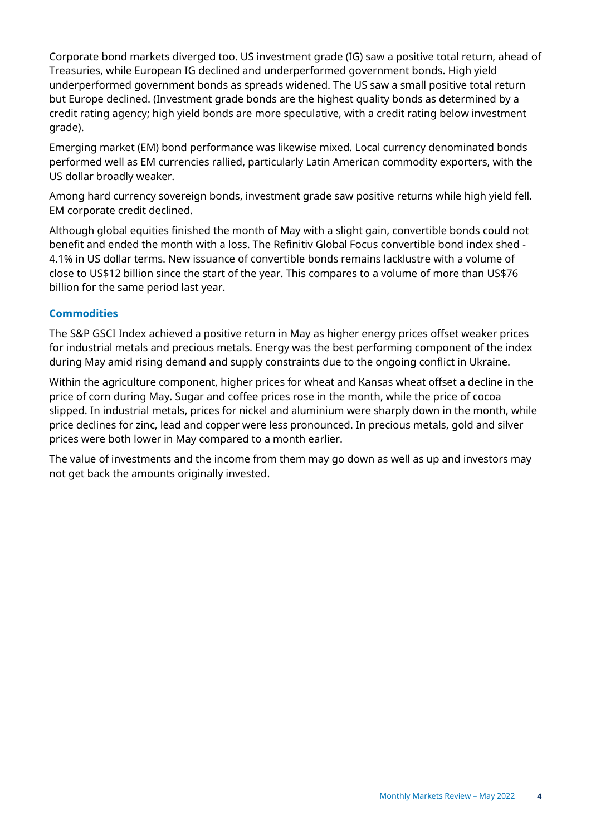Corporate bond markets diverged too. US investment grade (IG) saw a positive total return, ahead of Treasuries, while European IG declined and underperformed government bonds. High yield underperformed government bonds as spreads widened. The US saw a small positive total return but Europe declined. (Investment grade bonds are the highest quality bonds as determined by a credit rating agency; high yield bonds are more speculative, with a credit rating below investment grade).

Emerging market (EM) bond performance was likewise mixed. Local currency denominated bonds performed well as EM currencies rallied, particularly Latin American commodity exporters, with the US dollar broadly weaker.

Among hard currency sovereign bonds, investment grade saw positive returns while high yield fell. EM corporate credit declined.

Although global equities finished the month of May with a slight gain, convertible bonds could not benefit and ended the month with a loss. The Refinitiv Global Focus convertible bond index shed - 4.1% in US dollar terms. New issuance of convertible bonds remains lacklustre with a volume of close to US\$12 billion since the start of the year. This compares to a volume of more than US\$76 billion for the same period last year.

# **Commodities**

The S&P GSCI Index achieved a positive return in May as higher energy prices offset weaker prices for industrial metals and precious metals. Energy was the best performing component of the index during May amid rising demand and supply constraints due to the ongoing conflict in Ukraine.

Within the agriculture component, higher prices for wheat and Kansas wheat offset a decline in the price of corn during May. Sugar and coffee prices rose in the month, while the price of cocoa slipped. In industrial metals, prices for nickel and aluminium were sharply down in the month, while price declines for zinc, lead and copper were less pronounced. In precious metals, gold and silver prices were both lower in May compared to a month earlier.

The value of investments and the income from them may go down as well as up and investors may not get back the amounts originally invested.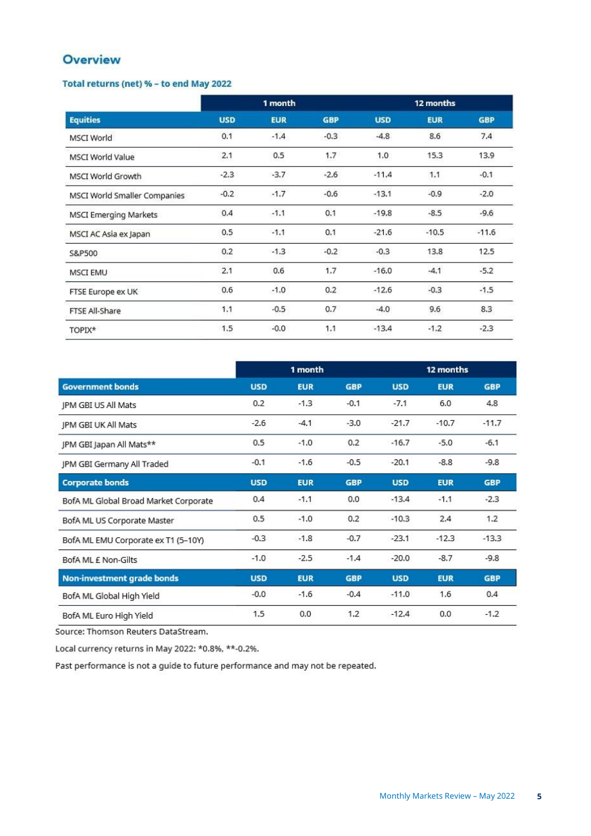# Overview

#### Total returns (net) % - to end May 2022

| <b>Equities</b>              | 1 month    |            |            | 12 months  |            |            |  |
|------------------------------|------------|------------|------------|------------|------------|------------|--|
|                              | <b>USD</b> | <b>EUR</b> | <b>GBP</b> | <b>USD</b> | <b>EUR</b> | <b>GBP</b> |  |
| <b>MSCI</b> World            | 0.1        | $-1.4$     | $-0.3$     | $-4.8$     | 8.6        | 7.4        |  |
| <b>MSCI World Value</b>      | 2.1        | 0.5        | 1.7        | 1.0        | 15.3       | 13.9       |  |
| <b>MSCI World Growth</b>     | $-2.3$     | $-3.7$     | $-2.6$     | $-11.4$    | 1.1        | $-0.1$     |  |
| MSCI World Smaller Companies | $-0.2$     | $-1.7$     | $-0.6$     | $-13.1$    | $-0.9$     | $-2.0$     |  |
| <b>MSCI Emerging Markets</b> | 0.4        | $-1.1$     | 0.1        | $-19.8$    | $-8.5$     | $-9.6$     |  |
| MSCI AC Asia ex Japan        | 0.5        | $-1.1$     | 0.1        | $-21.6$    | $-10.5$    | $-11.6$    |  |
| S&P500                       | 0.2        | $-1.3$     | $-0.2$     | $-0.3$     | 13.8       | 12.5       |  |
| <b>MSCI EMU</b>              | 2.1        | 0.6        | 1.7        | $-16.0$    | $-4.1$     | $-5.2$     |  |
| FTSE Europe ex UK            | 0.6        | $-1.0$     | 0.2        | $-12.6$    | $-0.3$     | $-1.5$     |  |
| FTSE All-Share               | 1.1        | $-0.5$     | 0.7        | $-4.0$     | 9.6        | 8.3        |  |
| TOPIX*                       | 1.5        | $-0.0$     | 1.1        | $-13.4$    | $-1.2$     | $-2.3$     |  |

| <b>Government bonds</b>               | 1 month    |            |            | 12 months  |            |            |
|---------------------------------------|------------|------------|------------|------------|------------|------------|
|                                       | <b>USD</b> | <b>EUR</b> | <b>GBP</b> | <b>USD</b> | <b>EUR</b> | <b>GBP</b> |
| IPM GBI US All Mats                   | 0.2        | $-1.3$     | $-0.1$     | $-7.1$     | 6.0        | 4.8        |
| <b>JPM GBI UK All Mats</b>            | $-2.6$     | $-4.1$     | $-3.0$     | $-21.7$    | $-10.7$    | $-11.7$    |
| JPM GBI Japan All Mats**              | 0.5        | $-1.0$     | 0.2        | $-16.7$    | $-5.0$     | $-6.1$     |
| JPM GBI Germany All Traded            | $-0.1$     | $-1.6$     | $-0.5$     | $-20.1$    | $-8.8$     | $-9.8$     |
| <b>Corporate bonds</b>                | <b>USD</b> | <b>EUR</b> | <b>GBP</b> | <b>USD</b> | <b>EUR</b> | <b>GBP</b> |
| BofA ML Global Broad Market Corporate | 0.4        | $-1.1$     | 0.0        | $-13.4$    | $-1.1$     | $-2.3$     |
| BofA ML US Corporate Master           | 0.5        | $-1.0$     | 0.2        | $-10.3$    | 2.4        | 1.2        |
| BofA ML EMU Corporate ex T1 (5-10Y)   | $-0.3$     | $-1.8$     | $-0.7$     | $-23.1$    | $-12.3$    | $-13.3$    |
| BofA ML E Non-Gilts                   | $-1.0$     | $-2.5$     | $-1.4$     | $-20.0$    | $-8.7$     | $-9.8$     |
| <b>Non-investment grade bonds</b>     | <b>USD</b> | <b>EUR</b> | <b>GBP</b> | <b>USD</b> | <b>EUR</b> | <b>GBP</b> |
| BofA ML Global High Yield             | $-0.0$     | $-1.6$     | $-0.4$     | $-11.0$    | 1.6        | 0.4        |
| BofA ML Euro High Yield               | 1.5        | 0.0        | 1.2        | $-12.4$    | 0.0        | $-1.2$     |

Source: Thomson Reuters DataStream.

Local currency returns in May 2022: \*0.8%, \*\*-0.2%.

Past performance is not a guide to future performance and may not be repeated.